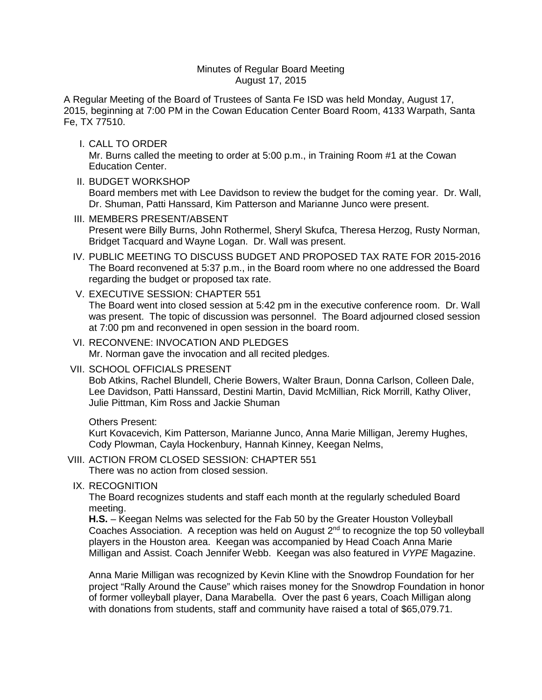### Minutes of Regular Board Meeting August 17, 2015

A Regular Meeting of the Board of Trustees of Santa Fe ISD was held Monday, August 17, 2015, beginning at 7:00 PM in the Cowan Education Center Board Room, 4133 Warpath, Santa Fe, TX 77510.

I. CALL TO ORDER

Mr. Burns called the meeting to order at 5:00 p.m., in Training Room #1 at the Cowan Education Center.

II. BUDGET WORKSHOP

Board members met with Lee Davidson to review the budget for the coming year. Dr. Wall, Dr. Shuman, Patti Hanssard, Kim Patterson and Marianne Junco were present.

III. MEMBERS PRESENT/ABSENT

Present were Billy Burns, John Rothermel, Sheryl Skufca, Theresa Herzog, Rusty Norman, Bridget Tacquard and Wayne Logan. Dr. Wall was present.

- IV. PUBLIC MEETING TO DISCUSS BUDGET AND PROPOSED TAX RATE FOR 2015-2016 The Board reconvened at 5:37 p.m., in the Board room where no one addressed the Board regarding the budget or proposed tax rate.
- V. EXECUTIVE SESSION: CHAPTER 551

The Board went into closed session at 5:42 pm in the executive conference room. Dr. Wall was present. The topic of discussion was personnel. The Board adjourned closed session at 7:00 pm and reconvened in open session in the board room.

VI. RECONVENE: INVOCATION AND PLEDGES Mr. Norman gave the invocation and all recited pledges.

VII. SCHOOL OFFICIALS PRESENT

Bob Atkins, Rachel Blundell, Cherie Bowers, Walter Braun, Donna Carlson, Colleen Dale, Lee Davidson, Patti Hanssard, Destini Martin, David McMillian, Rick Morrill, Kathy Oliver, Julie Pittman, Kim Ross and Jackie Shuman

### Others Present:

Kurt Kovacevich, Kim Patterson, Marianne Junco, Anna Marie Milligan, Jeremy Hughes, Cody Plowman, Cayla Hockenbury, Hannah Kinney, Keegan Nelms,

VIII. ACTION FROM CLOSED SESSION: CHAPTER 551

There was no action from closed session.

IX. RECOGNITION

The Board recognizes students and staff each month at the regularly scheduled Board meeting.

**H.S.** – Keegan Nelms was selected for the Fab 50 by the Greater Houston Volleyball Coaches Association. A reception was held on August 2<sup>nd</sup> to recognize the top 50 volleyball players in the Houston area. Keegan was accompanied by Head Coach Anna Marie Milligan and Assist. Coach Jennifer Webb. Keegan was also featured in *VYPE* Magazine.

Anna Marie Milligan was recognized by Kevin Kline with the Snowdrop Foundation for her project "Rally Around the Cause" which raises money for the Snowdrop Foundation in honor of former volleyball player, Dana Marabella. Over the past 6 years, Coach Milligan along with donations from students, staff and community have raised a total of \$65,079.71.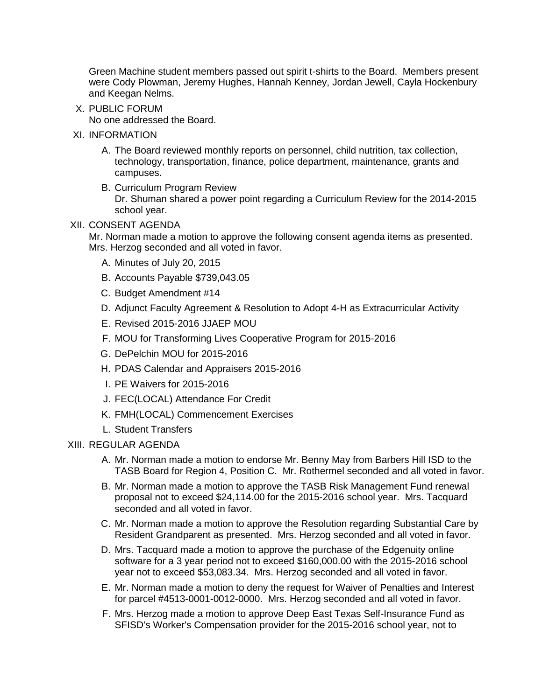Green Machine student members passed out spirit t-shirts to the Board. Members present were Cody Plowman, Jeremy Hughes, Hannah Kenney, Jordan Jewell, Cayla Hockenbury and Keegan Nelms.

X. PUBLIC FORUM

No one addressed the Board.

- XI. INFORMATION
	- A. The Board reviewed monthly reports on personnel, child nutrition, tax collection, technology, transportation, finance, police department, maintenance, grants and campuses.
	- B. Curriculum Program Review Dr. Shuman shared a power point regarding a Curriculum Review for the 2014-2015 school year.

## XII. CONSENT AGENDA

Mr. Norman made a motion to approve the following consent agenda items as presented. Mrs. Herzog seconded and all voted in favor.

- A. Minutes of July 20, 2015
- B. Accounts Payable \$739,043.05
- C. Budget Amendment #14
- D. Adjunct Faculty Agreement & Resolution to Adopt 4-H as Extracurricular Activity
- E. Revised 2015-2016 JJAEP MOU
- F. MOU for Transforming Lives Cooperative Program for 2015-2016
- G. DePelchin MOU for 2015-2016
- H. PDAS Calendar and Appraisers 2015-2016
- I. PE Waivers for 2015-2016
- J. FEC(LOCAL) Attendance For Credit
- K. FMH(LOCAL) Commencement Exercises
- L. Student Transfers

# XIII. REGULAR AGENDA

- A. Mr. Norman made a motion to endorse Mr. Benny May from Barbers Hill ISD to the TASB Board for Region 4, Position C. Mr. Rothermel seconded and all voted in favor.
- B. Mr. Norman made a motion to approve the TASB Risk Management Fund renewal proposal not to exceed \$24,114.00 for the 2015-2016 school year. Mrs. Tacquard seconded and all voted in favor.
- C. Mr. Norman made a motion to approve the Resolution regarding Substantial Care by Resident Grandparent as presented. Mrs. Herzog seconded and all voted in favor.
- D. Mrs. Tacquard made a motion to approve the purchase of the Edgenuity online software for a 3 year period not to exceed \$160,000.00 with the 2015-2016 school year not to exceed \$53,083.34. Mrs. Herzog seconded and all voted in favor.
- E. Mr. Norman made a motion to deny the request for Waiver of Penalties and Interest for parcel #4513-0001-0012-0000. Mrs. Herzog seconded and all voted in favor.
- F. Mrs. Herzog made a motion to approve Deep East Texas Self-Insurance Fund as SFISD's Worker's Compensation provider for the 2015-2016 school year, not to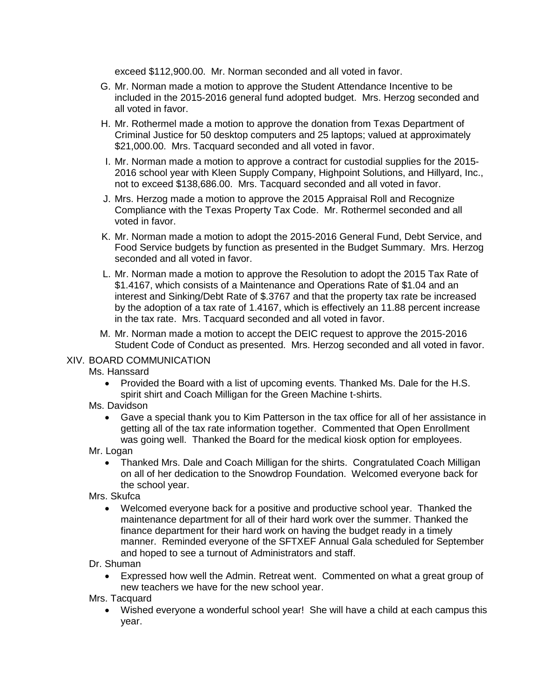exceed \$112,900.00. Mr. Norman seconded and all voted in favor.

- G. Mr. Norman made a motion to approve the Student Attendance Incentive to be included in the 2015-2016 general fund adopted budget. Mrs. Herzog seconded and all voted in favor.
- H. Mr. Rothermel made a motion to approve the donation from Texas Department of Criminal Justice for 50 desktop computers and 25 laptops; valued at approximately \$21,000.00. Mrs. Tacquard seconded and all voted in favor.
- I. Mr. Norman made a motion to approve a contract for custodial supplies for the 2015- 2016 school year with Kleen Supply Company, Highpoint Solutions, and Hillyard, Inc., not to exceed \$138,686.00. Mrs. Tacquard seconded and all voted in favor.
- J. Mrs. Herzog made a motion to approve the 2015 Appraisal Roll and Recognize Compliance with the Texas Property Tax Code. Mr. Rothermel seconded and all voted in favor.
- K. Mr. Norman made a motion to adopt the 2015-2016 General Fund, Debt Service, and Food Service budgets by function as presented in the Budget Summary. Mrs. Herzog seconded and all voted in favor.
- L. Mr. Norman made a motion to approve the Resolution to adopt the 2015 Tax Rate of \$1.4167, which consists of a Maintenance and Operations Rate of \$1.04 and an interest and Sinking/Debt Rate of \$.3767 and that the property tax rate be increased by the adoption of a tax rate of 1.4167, which is effectively an 11.88 percent increase in the tax rate. Mrs. Tacquard seconded and all voted in favor.
- M. Mr. Norman made a motion to accept the DEIC request to approve the 2015-2016 Student Code of Conduct as presented. Mrs. Herzog seconded and all voted in favor.

# XIV. BOARD COMMUNICATION

Ms. Hanssard

• Provided the Board with a list of upcoming events. Thanked Ms. Dale for the H.S. spirit shirt and Coach Milligan for the Green Machine t-shirts.

### Ms. Davidson

- Gave a special thank you to Kim Patterson in the tax office for all of her assistance in getting all of the tax rate information together. Commented that Open Enrollment was going well. Thanked the Board for the medical kiosk option for employees.
- Mr. Logan
	- Thanked Mrs. Dale and Coach Milligan for the shirts. Congratulated Coach Milligan on all of her dedication to the Snowdrop Foundation. Welcomed everyone back for the school year.

## Mrs. Skufca

- Welcomed everyone back for a positive and productive school year. Thanked the maintenance department for all of their hard work over the summer. Thanked the finance department for their hard work on having the budget ready in a timely manner. Reminded everyone of the SFTXEF Annual Gala scheduled for September and hoped to see a turnout of Administrators and staff.
- Dr. Shuman
	- Expressed how well the Admin. Retreat went. Commented on what a great group of new teachers we have for the new school year.

Mrs. Tacquard

• Wished everyone a wonderful school year! She will have a child at each campus this year.